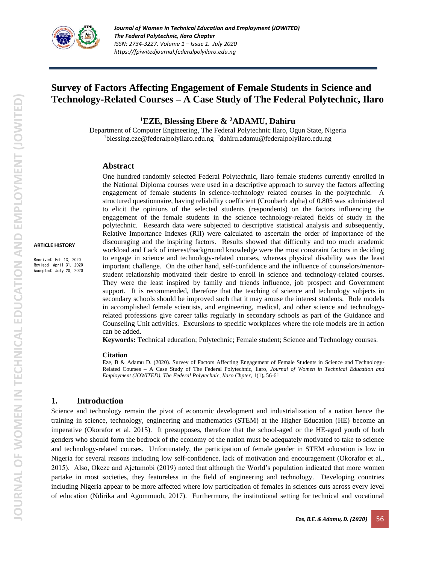

# **Survey of Factors Affecting Engagement of Female Students in Science and Technology-Related Courses – A Case Study of The Federal Polytechnic, Ilaro**

**<sup>1</sup>EZE, Blessing Ebere & <sup>2</sup>ADAMU, Dahiru**

Department of Computer Engineering, The Federal Polytechnic Ilaro, Ogun State, Nigeria <sup>1</sup>blessing.eze@federalpolyilaro.edu.ng <sup>2</sup>dahiru.adamu@federalpolyilaro.edu.ng

#### **Abstract**

One hundred randomly selected Federal Polytechnic, Ilaro female students currently enrolled in the National Diploma courses were used in a descriptive approach to survey the factors affecting engagement of female students in science-technology related courses in the polytechnic. A structured questionnaire, having reliability coefficient (Cronbach alpha) of 0.805 was administered to elicit the opinions of the selected students (respondents) on the factors influencing the engagement of the female students in the science technology-related fields of study in the polytechnic. Research data were subjected to descriptive statistical analysis and subsequently, Relative Importance Indexes (RII) were calculated to ascertain the order of importance of the discouraging and the inspiring factors. Results showed that difficulty and too much academic workload and Lack of interest/background knowledge were the most constraint factors in deciding to engage in science and technology-related courses, whereas physical disability was the least important challenge. On the other hand, self-confidence and the influence of counselors/mentorstudent relationship motivated their desire to enroll in science and technology-related courses. They were the least inspired by family and friends influence, job prospect and Government support. It is recommended, therefore that the teaching of science and technology subjects in secondary schools should be improved such that it may arouse the interest students. Role models in accomplished female scientists, and engineering, medical, and other science and technologyrelated professions give career talks regularly in secondary schools as part of the Guidance and Counseling Unit activities. Excursions to specific workplaces where the role models are in action can be added.

**Keywords:** Technical education; Polytechnic; Female student; Science and Technology courses.

#### **Citation**

Eze, B & Adamu D. (2020). Survey of Factors Affecting Engagement of Female Students in Science and Technology-Related Courses – A Case Study of The Federal Polytechnic, Ilaro*, Journal of Women in Technical Education and Employment (JOWITED), The Federal Polytechnic, Ilaro Chpter, 1(1), 56-61* 

#### **1. Introduction**

Science and technology remain the pivot of economic development and industrialization of a nation hence the training in science, technology, engineering and mathematics (STEM) at the Higher Education (HE) become an imperative (Okorafor et al. 2015). It presupposes, therefore that the school-aged or the HE-aged youth of both genders who should form the bedrock of the economy of the nation must be adequately motivated to take to science and technology-related courses. Unfortunately, the participation of female gender in STEM education is low in Nigeria for several reasons including low self-confidence, lack of motivation and encouragement (Okorafor et al., 2015). Also, Okeze and Ajetumobi (2019) noted that although the World's population indicated that more women partake in most societies, they featureless in the field of engineering and technology. Developing countries including Nigeria appear to be more affected where low participation of females in sciences cuts across every level of education (Ndirika and Agommuoh, 2017). Furthermore, the institutional setting for technical and vocational

**ARTICLE HISTORY** Received: Feb 13, 2020 Revised: April 31, 2020 Accepted: July 20, 2020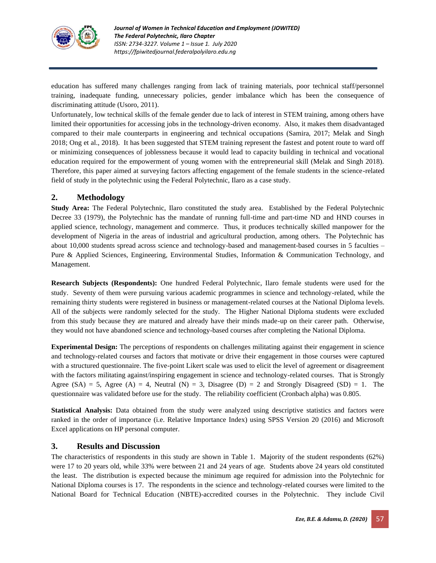

education has suffered many challenges ranging from lack of training materials, poor technical staff/personnel training, inadequate funding, unnecessary policies, gender imbalance which has been the consequence of discriminating attitude (Usoro, 2011).

Unfortunately, low technical skills of the female gender due to lack of interest in STEM training, among others have limited their opportunities for accessing jobs in the technology-driven economy. Also, it makes them disadvantaged compared to their male counterparts in engineering and technical occupations (Samira, 2017; Melak and Singh 2018; Ong et al., 2018). It has been suggested that STEM training represent the fastest and potent route to ward off or minimizing consequences of joblessness because it would lead to capacity building in technical and vocational education required for the empowerment of young women with the entrepreneurial skill (Melak and Singh 2018). Therefore, this paper aimed at surveying factors affecting engagement of the female students in the science-related field of study in the polytechnic using the Federal Polytechnic, Ilaro as a case study.

# **2. Methodology**

**Study Area:** The Federal Polytechnic, Ilaro constituted the study area. Established by the Federal Polytechnic Decree 33 (1979), the Polytechnic has the mandate of running full-time and part-time ND and HND courses in applied science, technology, management and commerce. Thus, it produces technically skilled manpower for the development of Nigeria in the areas of industrial and agricultural production, among others. The Polytechnic has about 10,000 students spread across science and technology-based and management-based courses in 5 faculties – Pure & Applied Sciences, Engineering, Environmental Studies, Information & Communication Technology, and Management.

**Research Subjects (Respondents):** One hundred Federal Polytechnic, Ilaro female students were used for the study. Seventy of them were pursuing various academic programmes in science and technology-related, while the remaining thirty students were registered in business or management-related courses at the National Diploma levels. All of the subjects were randomly selected for the study. The Higher National Diploma students were excluded from this study because they are matured and already have their minds made-up on their career path. Otherwise, they would not have abandoned science and technology-based courses after completing the National Diploma.

**Experimental Design:** The perceptions of respondents on challenges militating against their engagement in science and technology-related courses and factors that motivate or drive their engagement in those courses were captured with a structured questionnaire. The five-point Likert scale was used to elicit the level of agreement or disagreement with the factors militating against/inspiring engagement in science and technology-related courses. That is Strongly Agree (SA) = 5, Agree (A) = 4, Neutral (N) = 3, Disagree (D) = 2 and Strongly Disagreed (SD) = 1. The questionnaire was validated before use for the study. The reliability coefficient (Cronbach alpha) was 0.805.

**Statistical Analysis:** Data obtained from the study were analyzed using descriptive statistics and factors were ranked in the order of importance (i.e. Relative Importance Index) using SPSS Version 20 (2016) and Microsoft Excel applications on HP personal computer.

# **3. Results and Discussion**

The characteristics of respondents in this study are shown in Table 1. Majority of the student respondents (62%) were 17 to 20 years old, while 33% were between 21 and 24 years of age. Students above 24 years old constituted the least. The distribution is expected because the minimum age required for admission into the Polytechnic for National Diploma courses is 17. The respondents in the science and technology-related courses were limited to the National Board for Technical Education (NBTE)-accredited courses in the Polytechnic. They include Civil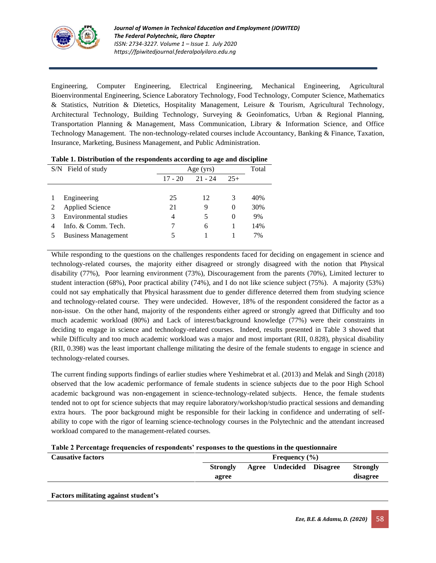

Engineering, Computer Engineering, Electrical Engineering, Mechanical Engineering, Agricultural Bioenvironmental Engineering, Science Laboratory Technology, Food Technology, Computer Science, Mathematics & Statistics, Nutrition & Dietetics, Hospitality Management, Leisure & Tourism, Agricultural Technology, Architectural Technology, Building Technology, Surveying & Geoinfomatics, Urban & Regional Planning, Transportation Planning & Management, Mass Communication, Library & Information Science, and Office Technology Management. The non-technology-related courses include Accountancy, Banking & Finance, Taxation, Insurance, Marketing, Business Management, and Public Administration.

| $\sim$ wave in 20 meters were as a very a copy officerated we concerning to these waves parameters. |                            |           |           |          |     |
|-----------------------------------------------------------------------------------------------------|----------------------------|-----------|-----------|----------|-----|
| S/N Field of study                                                                                  |                            |           | Age (yrs) |          |     |
|                                                                                                     |                            | $17 - 20$ | $21 - 24$ | $25+$    |     |
|                                                                                                     |                            |           |           |          |     |
|                                                                                                     | Engineering                | 25        | 12        | 3        | 40% |
|                                                                                                     | <b>Applied Science</b>     | 21        | 9         | $\Omega$ | 30% |
|                                                                                                     | Environmental studies      | 4         |           | 0        | 9%  |
| 4                                                                                                   | Info. & Comm. Tech.        |           | 6         |          | 14% |
|                                                                                                     | <b>Business Management</b> | 5         |           |          | 7%  |
|                                                                                                     |                            |           |           |          |     |

| Table 1. Distribution of the respondents according to age and discipline |  |  |
|--------------------------------------------------------------------------|--|--|
|                                                                          |  |  |

While responding to the questions on the challenges respondents faced for deciding on engagement in science and technology-related courses, the majority either disagreed or strongly disagreed with the notion that Physical disability (77%), Poor learning environment (73%), Discouragement from the parents (70%), Limited lecturer to student interaction (68%), Poor practical ability (74%), and I do not like science subject (75%). A majority (53%) could not say emphatically that Physical harassment due to gender difference deterred them from studying science and technology-related course. They were undecided. However, 18% of the respondent considered the factor as a non-issue. On the other hand, majority of the respondents either agreed or strongly agreed that Difficulty and too much academic workload (80%) and Lack of interest/background knowledge (77%) were their constraints in deciding to engage in science and technology-related courses. Indeed, results presented in Table 3 showed that while Difficulty and too much academic workload was a major and most important (RII, 0.828), physical disability (RII, 0.398) was the least important challenge militating the desire of the female students to engage in science and technology-related courses.

The current finding supports findings of earlier studies where Yeshimebrat et al. (2013) and Melak and Singh (2018) observed that the low academic performance of female students in science subjects due to the poor High School academic background was non-engagement in science-technology-related subjects. Hence, the female students tended not to opt for science subjects that may require laboratory/workshop/studio practical sessions and demanding extra hours. The poor background might be responsible for their lacking in confidence and underrating of selfability to cope with the rigor of learning science-technology courses in the Polytechnic and the attendant increased workload compared to the management-related courses.

#### **Table 2 Percentage frequencies of respondents' responses to the questions in the questionnaire**

| <b>Causative factors</b>                         |                          | Frequency $(\% )$ |                          |  |                      |
|--------------------------------------------------|--------------------------|-------------------|--------------------------|--|----------------------|
|                                                  | <b>Strongly</b><br>agree |                   | Agree Undecided Disagree |  | Strongly<br>disagree |
| $\Gamma$ a atawa ya Utatin a wasin atau tanda 14 |                          |                   |                          |  |                      |

**Factors militating against student's**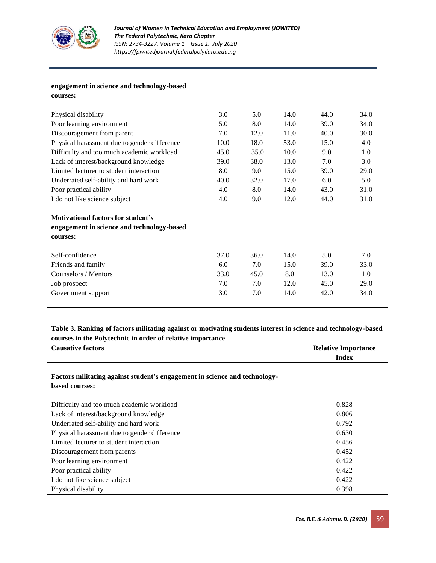

### **engagement in science and technology-based courses:**

| Physical disability                          | 3.0  | 5.0  | 14.0 | 44.0 | 34.0 |
|----------------------------------------------|------|------|------|------|------|
| Poor learning environment                    | 5.0  | 8.0  | 14.0 | 39.0 | 34.0 |
| Discouragement from parent                   | 7.0  | 12.0 | 11.0 | 40.0 | 30.0 |
| Physical harassment due to gender difference | 10.0 | 18.0 | 53.0 | 15.0 | 4.0  |
| Difficulty and too much academic workload    | 45.0 | 35.0 | 10.0 | 9.0  | 1.0  |
| Lack of interest/background knowledge        | 39.0 | 38.0 | 13.0 | 7.0  | 3.0  |
| Limited lecturer to student interaction      | 8.0  | 9.0  | 15.0 | 39.0 | 29.0 |
| Underrated self-ability and hard work        | 40.0 | 32.0 | 17.0 | 6.0  | 5.0  |
| Poor practical ability                       | 4.0  | 8.0  | 14.0 | 43.0 | 31.0 |
| I do not like science subject                | 4.0  | 9.0  | 12.0 | 44.0 | 31.0 |
| <b>Motivational factors for student's</b>    |      |      |      |      |      |
| engagement in science and technology-based   |      |      |      |      |      |
| courses:                                     |      |      |      |      |      |
| Self-confidence                              | 37.0 | 36.0 | 14.0 | 5.0  | 7.0  |
| Friends and family                           | 6.0  | 7.0  | 15.0 | 39.0 | 33.0 |
| Counselors / Mentors                         | 33.0 | 45.0 | 8.0  | 13.0 | 1.0  |
| Job prospect                                 | 7.0  | 7.0  | 12.0 | 45.0 | 29.0 |
| Government support                           | 3.0  | 7.0  | 14.0 | 42.0 | 34.0 |
|                                              |      |      |      |      |      |

# **Table 3. Ranking of factors militating against or motivating students interest in science and technology-based courses in the Polytechnic in order of relative importance**

| <b>Causative factors</b> | <b>Relative Importance</b> |
|--------------------------|----------------------------|
|                          | Index                      |

# **Factors militating against student's engagement in science and technologybased courses:**

| Difficulty and too much academic workload    | 0.828 |
|----------------------------------------------|-------|
| Lack of interest/background knowledge        | 0.806 |
| Underrated self-ability and hard work        | 0.792 |
| Physical harassment due to gender difference | 0.630 |
| Limited lecturer to student interaction      | 0.456 |
| Discouragement from parents                  | 0.452 |
| Poor learning environment                    | 0.422 |
| Poor practical ability                       | 0.422 |
| I do not like science subject                | 0.422 |
| Physical disability                          | 0.398 |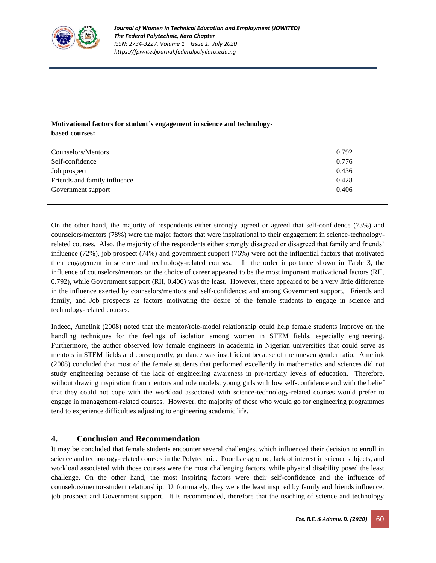

# **Motivational factors for student's engagement in science and technologybased courses:**

| Counselors/Mentors           | 0.792 |
|------------------------------|-------|
| Self-confidence              | 0.776 |
| Job prospect                 | 0.436 |
| Friends and family influence | 0.428 |
| Government support           | 0.406 |

On the other hand, the majority of respondents either strongly agreed or agreed that self-confidence (73%) and counselors/mentors (78%) were the major factors that were inspirational to their engagement in science-technologyrelated courses. Also, the majority of the respondents either strongly disagreed or disagreed that family and friends' influence (72%), job prospect (74%) and government support (76%) were not the influential factors that motivated their engagement in science and technology-related courses. In the order importance shown in Table 3, the influence of counselors/mentors on the choice of career appeared to be the most important motivational factors (RII, 0.792), while Government support (RII, 0.406) was the least. However, there appeared to be a very little difference in the influence exerted by counselors/mentors and self-confidence; and among Government support, Friends and family, and Job prospects as factors motivating the desire of the female students to engage in science and technology-related courses.

Indeed, Amelink (2008) noted that the mentor/role-model relationship could help female students improve on the handling techniques for the feelings of isolation among women in STEM fields, especially engineering. Furthermore, the author observed low female engineers in academia in Nigerian universities that could serve as mentors in STEM fields and consequently, guidance was insufficient because of the uneven gender ratio. Amelink (2008) concluded that most of the female students that performed excellently in mathematics and sciences did not study engineering because of the lack of engineering awareness in pre-tertiary levels of education. Therefore, without drawing inspiration from mentors and role models, young girls with low self-confidence and with the belief that they could not cope with the workload associated with science-technology-related courses would prefer to engage in management-related courses. However, the majority of those who would go for engineering programmes tend to experience difficulties adjusting to engineering academic life.

# **4. Conclusion and Recommendation**

It may be concluded that female students encounter several challenges, which influenced their decision to enroll in science and technology-related courses in the Polytechnic. Poor background, lack of interest in science subjects, and workload associated with those courses were the most challenging factors, while physical disability posed the least challenge. On the other hand, the most inspiring factors were their self-confidence and the influence of counselors/mentor-student relationship. Unfortunately, they were the least inspired by family and friends influence, job prospect and Government support. It is recommended, therefore that the teaching of science and technology